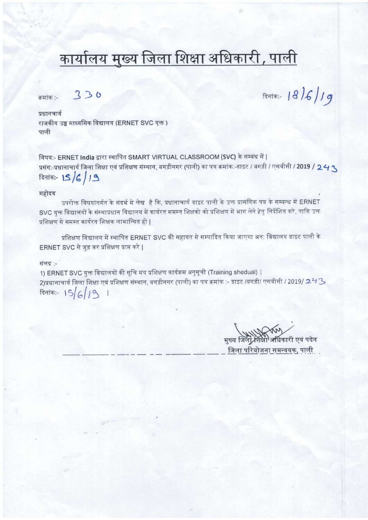# कार्यालय मुख्य जिला शिक्षा अधिकारी, पाली

क्रमांक :-

330

 $F = 18/6/19$ 

प्रधानचार्य राजकीय उच्च माध्यमिक विद्यालय (ERNET SVC यक्त) पाली

विषय:- ERNET India द्वारा स्थापित SMART VIRTUAL CLASSROOM (SVC) के सम्बंध में | प्रसंग:-प्रधानाचार्य जिला शिक्षा एवं प्रशिक्षण संस्थान, बगड़ीनगर (पाली) का पत्र क्रमांक:-डाइट / बगड़ी / एसवीसी / 2019 / 24 ९  $R$ 15/6/19

#### महोदय

उपरोक्त विषयांतर्गत के संदर्भ मे लेख है कि, प्रधानाचार्य डाइट पाली के उक्त प्रासंगिक पत्र के सम्बन्ध में ERNET SVC युक्त विद्यालयों के संस्थाप्रधान विद्यालय में कार्यरत समस्त शिक्षको को प्रशिक्षण में भाग लेने हेत् निर्देशित करे, ताकि उक्त प्रशिक्षण से समस्त कार्यरत शिक्षक लाभान्वित हो |

प्रशिक्षण विद्यालय में स्थापित ERNET SVC की सहायत से सम्पादित किया जाएगा अत: विद्यालय डाइट पाली के ERNET SVC से जुड़ कर प्रशिक्षण प्राप्त करे |

#### संलग्न :-

1) ERNET SVC युक्त विद्यालयों की सूचि मय प्रशिक्षण कार्यक्रम अनुसूची (Training shedual) | 2)प्रधानाचार्य जिला शिक्षा एवं प्रशिक्षण संस्थान, बगड़ीनगर (पाली) का पत्र क्रमांक :- डाइट /बगड़ी/ एसवीसी / 2019/ 2 <sup>4</sup> 3 दिनांक:-  $15/6/19$  |

मुख्य जिला शिक्षा अधिकारी एवं पदेन जिला परियोजना समन्वयक. पाली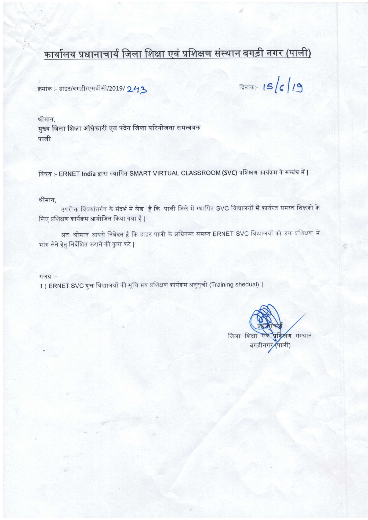## कार्यालय प्रधानाचार्य जिला शिक्षा एवं प्रशिक्षण संस्थान बगड़ी नगर (पाली)

क्रमांक :- डाइट/बगड़ी/एसवीसी/2019/ 243

दिनांक:-  $15/6/19$ 

श्रीमान. मुख्य जिला शिक्षा अधिकारी एवं पदेन जिला परियोजना समन्वयक पाली

विषय :- ERNET India द्वारा स्थापित SMART VIRTUAL CLASSROOM (SVC) प्रशिक्षण कार्यक्रम के सम्बंध में |

श्रीमान,

उपरोक्त विषयांतर्गत के संदर्भ मे लेख है कि पाली जिले में स्थापित SVC विद्यालयों में कार्यरत समस्त शिक्षको के लिए प्रशिक्षण कार्यक्रम आयोजित किया गया है |

अत: श्रीमान आपसे निवेदन है कि डाइट पाली के अधिनस्त समस्त ERNET SVC विद्यालयों को उक्त प्रशिक्षण में भाग लेने हेतु निर्देशित कराने की कृपा करे |

संलग्न :-

1 ) ERNET SVC युक्त विद्यालयों की सूचि मय प्रशिक्षण कार्यक्रम अनुसूची (Training shedual) |

प्रदाण संस्थान जिला शिक्षा पाली) बगड़ीनग